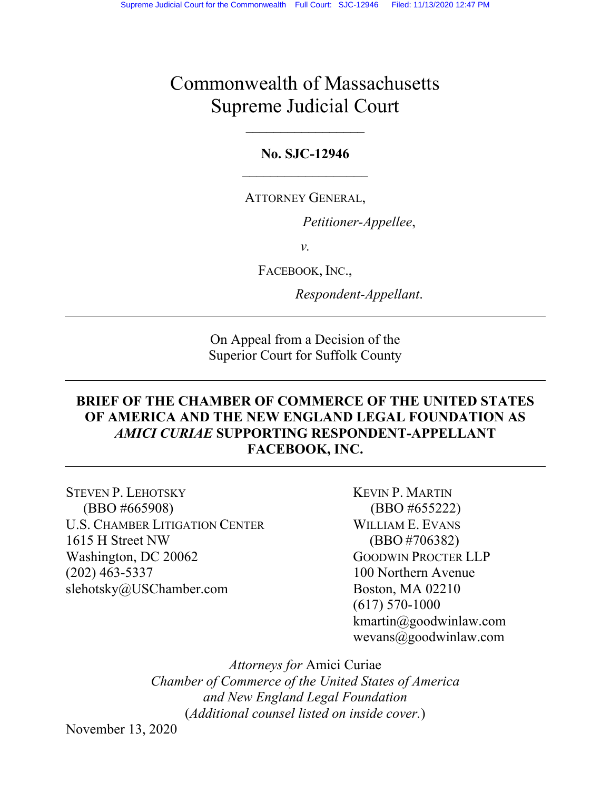# Commonwealth of Massachusetts Supreme Judicial Court

## **No. SJC-12946**

### ATTORNEY GENERAL,

*Petitioner-Appellee*,

*v.*

FACEBOOK, INC.,

*Respondent-Appellant*.

On Appeal from a Decision of the Superior Court for Suffolk County

## **BRIEF OF THE CHAMBER OF COMMERCE OF THE UNITED STATES OF AMERICA AND THE NEW ENGLAND LEGAL FOUNDATION AS**  *AMICI CURIAE* **SUPPORTING RESPONDENT-APPELLANT FACEBOOK, INC.**

STEVEN P. LEHOTSKY KEVIN P. MARTIN (BBO #665908) (BBO #655222) U.S. CHAMBER LITIGATION CENTER WILLIAM E. EVANS 1615 H Street NW (BBO #706382) Washington, DC 20062 GOODWIN PROCTER LLP (202) 463-5337 100 Northern Avenue slehotsky@USChamber.com Boston, MA 02210

 (617) 570-1000 kmartin@goodwinlaw.com wevans@goodwinlaw.com

*Attorneys for* Amici Curiae *Chamber of Commerce of the United States of America and New England Legal Foundation*  (*Additional counsel listed on inside cover.*)

November 13, 2020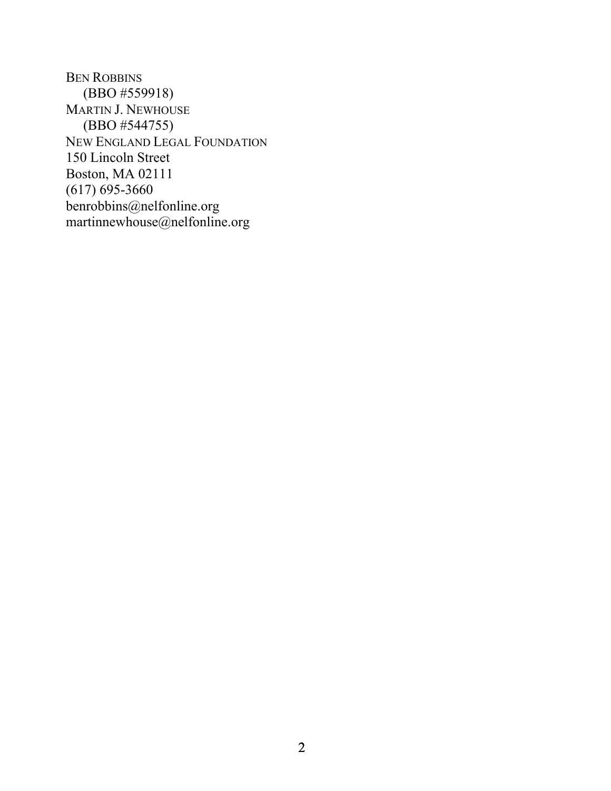BEN ROBBINS (BBO #559918) MARTIN J. NEWHOUSE (BBO #544755) NEW ENGLAND LEGAL FOUNDATION 150 Lincoln Street Boston, MA 02111 (617) 695-3660 benrobbins@nelfonline.org martinnewhouse@nelfonline.org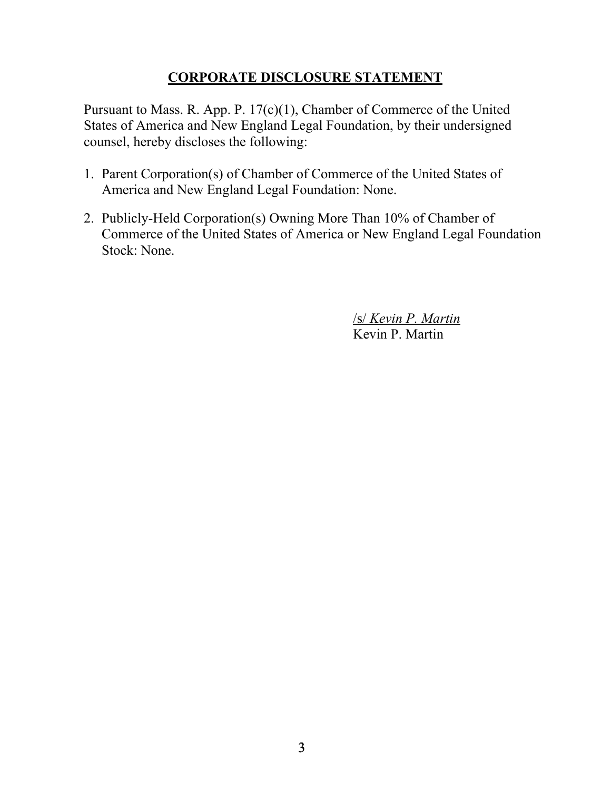## **CORPORATE DISCLOSURE STATEMENT**

Pursuant to Mass. R. App. P. 17(c)(1), Chamber of Commerce of the United States of America and New England Legal Foundation, by their undersigned counsel, hereby discloses the following:

- 1. Parent Corporation(s) of Chamber of Commerce of the United States of America and New England Legal Foundation: None.
- 2. Publicly-Held Corporation(s) Owning More Than 10% of Chamber of Commerce of the United States of America or New England Legal Foundation Stock: None.

 /s/ *Kevin P. Martin* Kevin P. Martin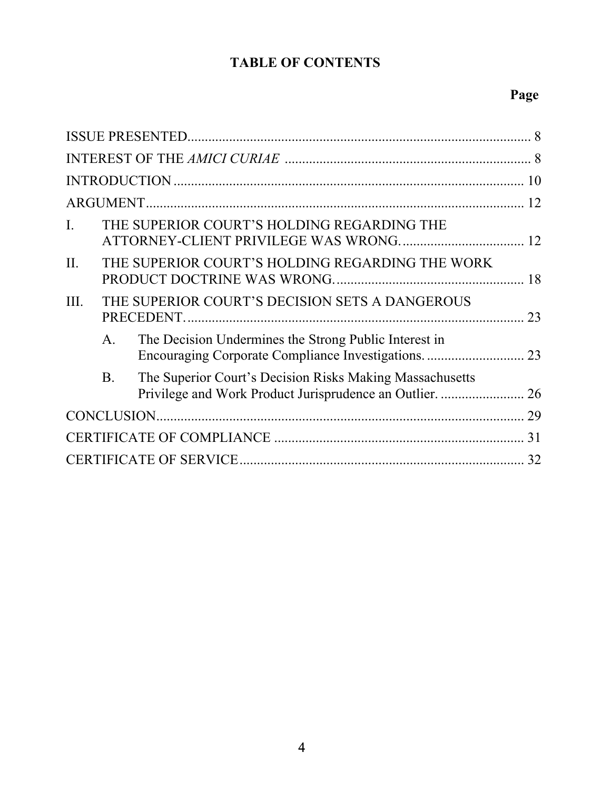## **TABLE OF CONTENTS**

## **Page**

| $\overline{I}$ .<br>THE SUPERIOR COURT'S HOLDING REGARDING THE          |    |
|-------------------------------------------------------------------------|----|
| THE SUPERIOR COURT'S HOLDING REGARDING THE WORK<br>II.                  |    |
| THE SUPERIOR COURT'S DECISION SETS A DANGEROUS<br>III.                  |    |
| The Decision Undermines the Strong Public Interest in<br>A <sub>1</sub> |    |
| The Superior Court's Decision Risks Making Massachusetts<br><b>B.</b>   |    |
|                                                                         |    |
|                                                                         |    |
|                                                                         | 32 |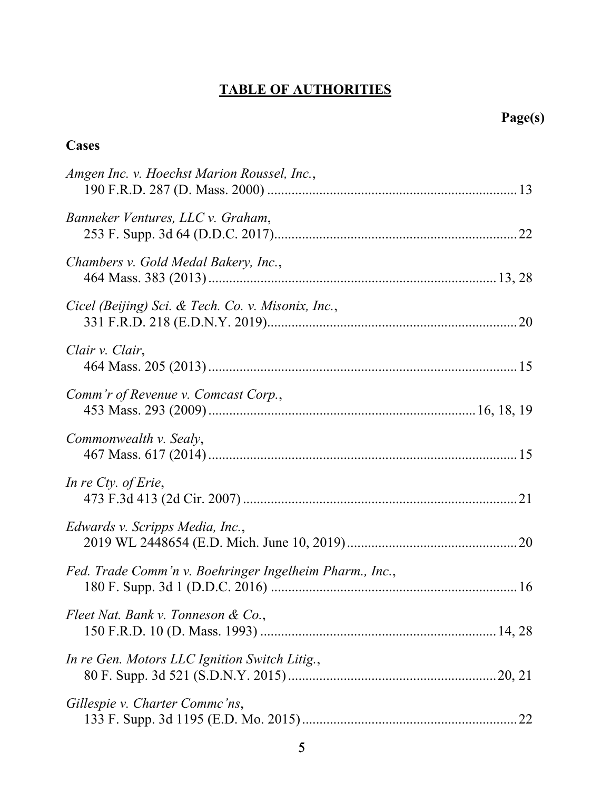## **TABLE OF AUTHORITIES**

| <b>Cases</b>                                            |
|---------------------------------------------------------|
| Amgen Inc. v. Hoechst Marion Roussel, Inc.,             |
| Banneker Ventures, LLC v. Graham,                       |
| Chambers v. Gold Medal Bakery, Inc.,                    |
| Cicel (Beijing) Sci. & Tech. Co. v. Misonix, Inc.,      |
| Clair v. Clair,                                         |
| Comm'r of Revenue v. Comcast Corp.,                     |
| Commonwealth v. Sealy,                                  |
| In re Cty. of Erie,                                     |
| Edwards v. Scripps Media, Inc.,                         |
| Fed. Trade Comm'n v. Boehringer Ingelheim Pharm., Inc., |
| Fleet Nat. Bank v. Tonneson & Co.,                      |
| In re Gen. Motors LLC Ignition Switch Litig.,           |
| Gillespie v. Charter Commc'ns,                          |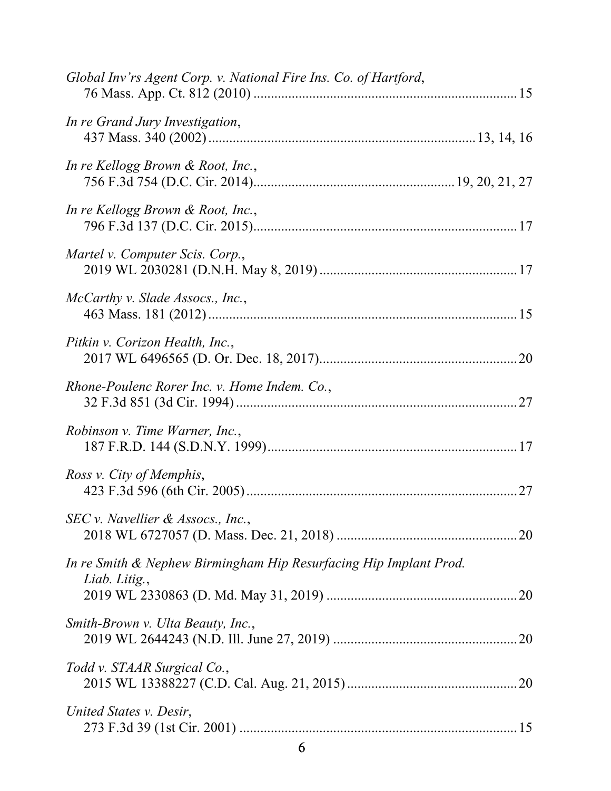| Global Inv'rs Agent Corp. v. National Fire Ins. Co. of Hartford,                   |
|------------------------------------------------------------------------------------|
| In re Grand Jury Investigation,                                                    |
| In re Kellogg Brown & Root, Inc.,                                                  |
| In re Kellogg Brown & Root, Inc.,                                                  |
| Martel v. Computer Scis. Corp.,                                                    |
| McCarthy v. Slade Assocs., Inc.,                                                   |
| Pitkin v. Corizon Health, Inc.,                                                    |
| Rhone-Poulenc Rorer Inc. v. Home Indem. Co.,                                       |
| Robinson v. Time Warner, Inc.,                                                     |
| Ross v. City of Memphis,                                                           |
| SEC v. Navellier & Assocs., Inc.,                                                  |
| In re Smith & Nephew Birmingham Hip Resurfacing Hip Implant Prod.<br>Liab. Litig., |
| Smith-Brown v. Ulta Beauty, Inc.,                                                  |
| Todd v. STAAR Surgical Co.,                                                        |
| United States v. Desir,                                                            |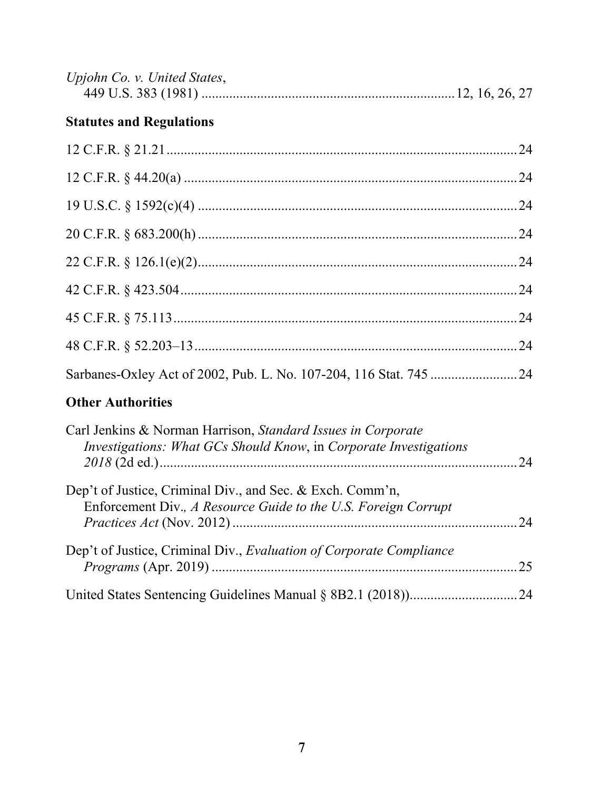| Upjohn Co. v. United States, |  |  |
|------------------------------|--|--|
|                              |  |  |

## **Statutes and Regulations**

| <b>Other Authorities</b> |  |
|--------------------------|--|
|                          |  |
|                          |  |
|                          |  |
|                          |  |
|                          |  |
|                          |  |
|                          |  |
|                          |  |
|                          |  |

| Carl Jenkins & Norman Harrison, Standard Issues in Corporate<br>Investigations: What GCs Should Know, in Corporate Investigations | 24   |
|-----------------------------------------------------------------------------------------------------------------------------------|------|
| Dep't of Justice, Criminal Div., and Sec. & Exch. Comm'n,<br>Enforcement Div., A Resource Guide to the U.S. Foreign Corrupt       | 24   |
| Dep't of Justice, Criminal Div., Evaluation of Corporate Compliance                                                               | 25   |
|                                                                                                                                   | . 24 |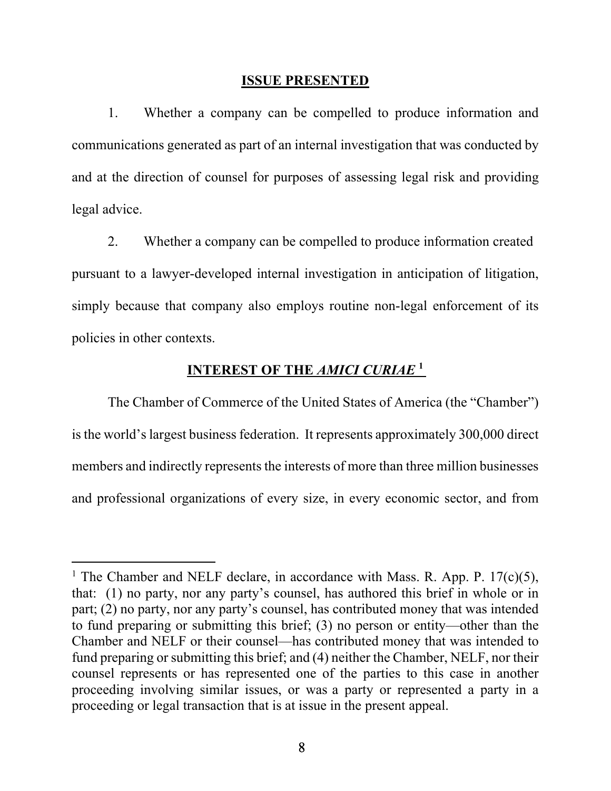#### **ISSUE PRESENTED**

1. Whether a company can be compelled to produce information and communications generated as part of an internal investigation that was conducted by and at the direction of counsel for purposes of assessing legal risk and providing legal advice.

2. Whether a company can be compelled to produce information created pursuant to a lawyer-developed internal investigation in anticipation of litigation, simply because that company also employs routine non-legal enforcement of its policies in other contexts.

## **INTEREST OF THE** *AMICI CURIAE* **<sup>1</sup>**

The Chamber of Commerce of the United States of America (the "Chamber") is the world's largest business federation. It represents approximately 300,000 direct members and indirectly represents the interests of more than three million businesses and professional organizations of every size, in every economic sector, and from

<sup>&</sup>lt;sup>1</sup> The Chamber and NELF declare, in accordance with Mass. R. App. P.  $17(c)(5)$ , that: (1) no party, nor any party's counsel, has authored this brief in whole or in part; (2) no party, nor any party's counsel, has contributed money that was intended to fund preparing or submitting this brief; (3) no person or entity—other than the Chamber and NELF or their counsel—has contributed money that was intended to fund preparing or submitting this brief; and (4) neither the Chamber, NELF, nor their counsel represents or has represented one of the parties to this case in another proceeding involving similar issues, or was a party or represented a party in a proceeding or legal transaction that is at issue in the present appeal.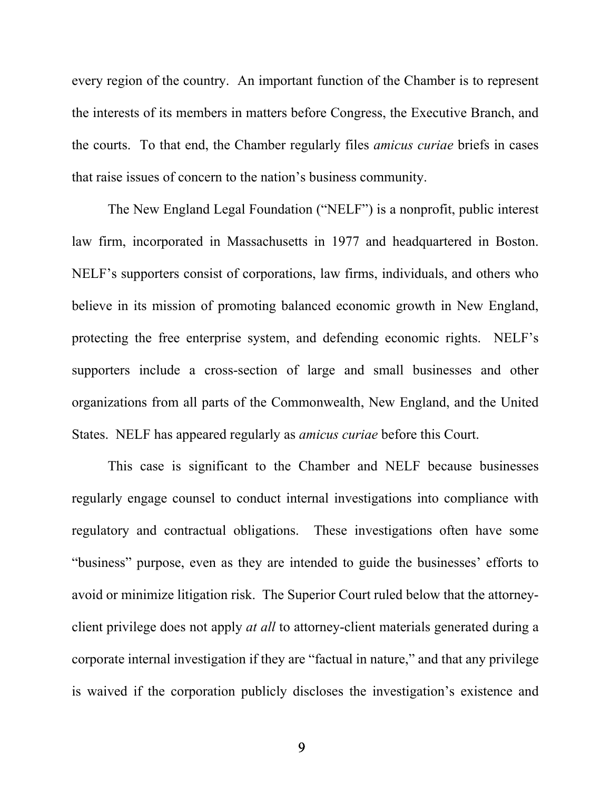every region of the country. An important function of the Chamber is to represent the interests of its members in matters before Congress, the Executive Branch, and the courts. To that end, the Chamber regularly files *amicus curiae* briefs in cases that raise issues of concern to the nation's business community.

The New England Legal Foundation ("NELF") is a nonprofit, public interest law firm, incorporated in Massachusetts in 1977 and headquartered in Boston. NELF's supporters consist of corporations, law firms, individuals, and others who believe in its mission of promoting balanced economic growth in New England, protecting the free enterprise system, and defending economic rights. NELF's supporters include a cross-section of large and small businesses and other organizations from all parts of the Commonwealth, New England, and the United States. NELF has appeared regularly as *amicus curiae* before this Court.

This case is significant to the Chamber and NELF because businesses regularly engage counsel to conduct internal investigations into compliance with regulatory and contractual obligations. These investigations often have some "business" purpose, even as they are intended to guide the businesses' efforts to avoid or minimize litigation risk. The Superior Court ruled below that the attorneyclient privilege does not apply *at all* to attorney-client materials generated during a corporate internal investigation if they are "factual in nature," and that any privilege is waived if the corporation publicly discloses the investigation's existence and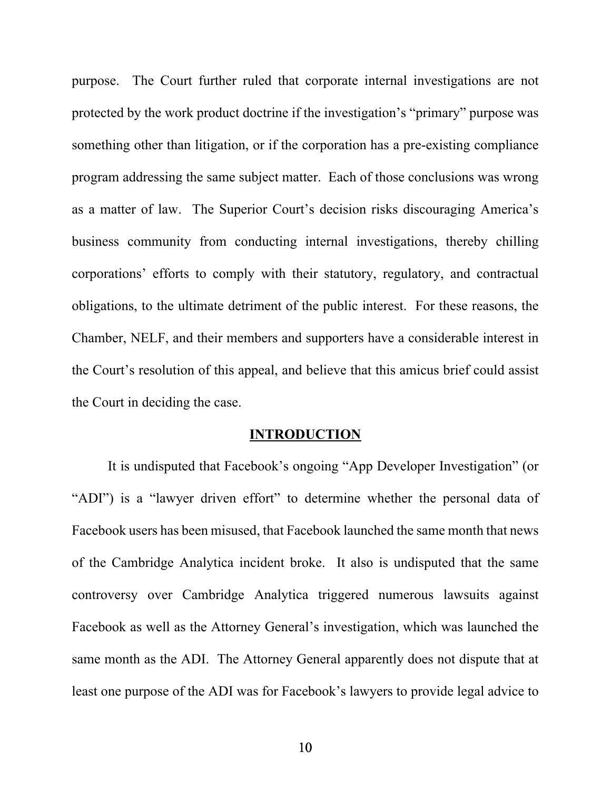purpose. The Court further ruled that corporate internal investigations are not protected by the work product doctrine if the investigation's "primary" purpose was something other than litigation, or if the corporation has a pre-existing compliance program addressing the same subject matter. Each of those conclusions was wrong as a matter of law. The Superior Court's decision risks discouraging America's business community from conducting internal investigations, thereby chilling corporations' efforts to comply with their statutory, regulatory, and contractual obligations, to the ultimate detriment of the public interest. For these reasons, the Chamber, NELF, and their members and supporters have a considerable interest in the Court's resolution of this appeal, and believe that this amicus brief could assist the Court in deciding the case.

#### **INTRODUCTION**

 It is undisputed that Facebook's ongoing "App Developer Investigation" (or "ADI") is a "lawyer driven effort" to determine whether the personal data of Facebook users has been misused, that Facebook launched the same month that news of the Cambridge Analytica incident broke. It also is undisputed that the same controversy over Cambridge Analytica triggered numerous lawsuits against Facebook as well as the Attorney General's investigation, which was launched the same month as the ADI. The Attorney General apparently does not dispute that at least one purpose of the ADI was for Facebook's lawyers to provide legal advice to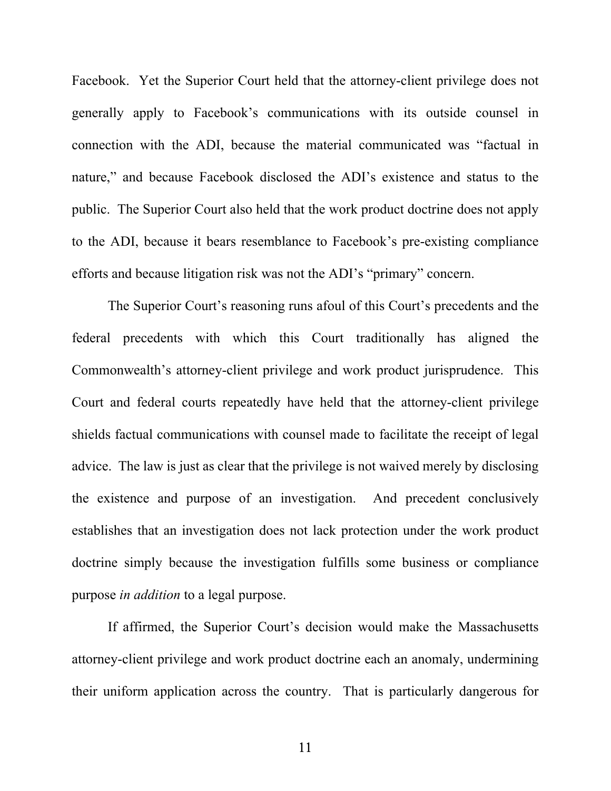Facebook. Yet the Superior Court held that the attorney-client privilege does not generally apply to Facebook's communications with its outside counsel in connection with the ADI, because the material communicated was "factual in nature," and because Facebook disclosed the ADI's existence and status to the public. The Superior Court also held that the work product doctrine does not apply to the ADI, because it bears resemblance to Facebook's pre-existing compliance efforts and because litigation risk was not the ADI's "primary" concern.

The Superior Court's reasoning runs afoul of this Court's precedents and the federal precedents with which this Court traditionally has aligned the Commonwealth's attorney-client privilege and work product jurisprudence. This Court and federal courts repeatedly have held that the attorney-client privilege shields factual communications with counsel made to facilitate the receipt of legal advice. The law is just as clear that the privilege is not waived merely by disclosing the existence and purpose of an investigation. And precedent conclusively establishes that an investigation does not lack protection under the work product doctrine simply because the investigation fulfills some business or compliance purpose *in addition* to a legal purpose.

 If affirmed, the Superior Court's decision would make the Massachusetts attorney-client privilege and work product doctrine each an anomaly, undermining their uniform application across the country. That is particularly dangerous for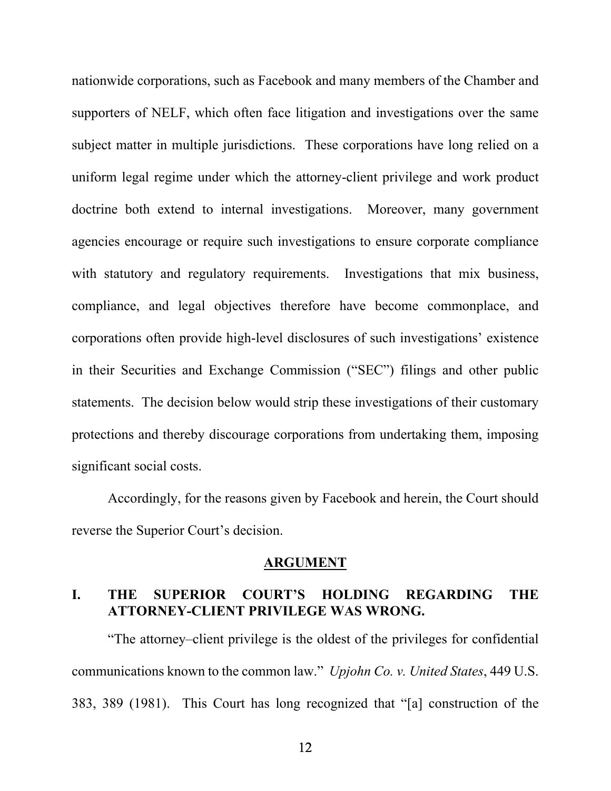nationwide corporations, such as Facebook and many members of the Chamber and supporters of NELF, which often face litigation and investigations over the same subject matter in multiple jurisdictions. These corporations have long relied on a uniform legal regime under which the attorney-client privilege and work product doctrine both extend to internal investigations. Moreover, many government agencies encourage or require such investigations to ensure corporate compliance with statutory and regulatory requirements. Investigations that mix business, compliance, and legal objectives therefore have become commonplace, and corporations often provide high-level disclosures of such investigations' existence in their Securities and Exchange Commission ("SEC") filings and other public statements. The decision below would strip these investigations of their customary protections and thereby discourage corporations from undertaking them, imposing significant social costs.

 Accordingly, for the reasons given by Facebook and herein, the Court should reverse the Superior Court's decision.

#### **ARGUMENT**

## **I. THE SUPERIOR COURT'S HOLDING REGARDING THE ATTORNEY-CLIENT PRIVILEGE WAS WRONG.**

"The attorney–client privilege is the oldest of the privileges for confidential communications known to the common law." *Upjohn Co. v. United States*, 449 U.S. 383, 389 (1981). This Court has long recognized that "[a] construction of the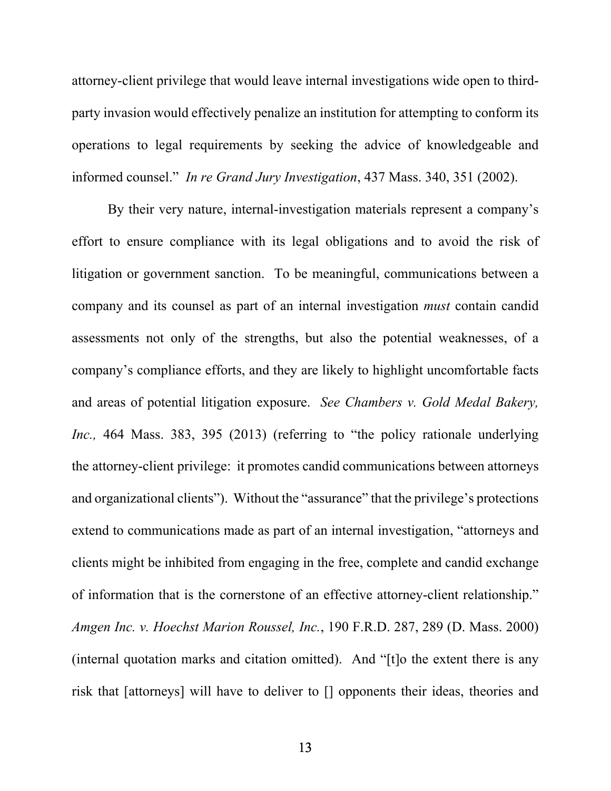attorney-client privilege that would leave internal investigations wide open to thirdparty invasion would effectively penalize an institution for attempting to conform its operations to legal requirements by seeking the advice of knowledgeable and informed counsel." *In re Grand Jury Investigation*, 437 Mass. 340, 351 (2002).

By their very nature, internal-investigation materials represent a company's effort to ensure compliance with its legal obligations and to avoid the risk of litigation or government sanction. To be meaningful, communications between a company and its counsel as part of an internal investigation *must* contain candid assessments not only of the strengths, but also the potential weaknesses, of a company's compliance efforts, and they are likely to highlight uncomfortable facts and areas of potential litigation exposure. *See Chambers v. Gold Medal Bakery, Inc.,* 464 Mass. 383, 395 (2013) (referring to "the policy rationale underlying the attorney-client privilege: it promotes candid communications between attorneys and organizational clients"). Without the "assurance" that the privilege's protections extend to communications made as part of an internal investigation, "attorneys and clients might be inhibited from engaging in the free, complete and candid exchange of information that is the cornerstone of an effective attorney-client relationship." *Amgen Inc. v. Hoechst Marion Roussel, Inc.*, 190 F.R.D. 287, 289 (D. Mass. 2000) (internal quotation marks and citation omitted). And "[t]o the extent there is any risk that [attorneys] will have to deliver to [] opponents their ideas, theories and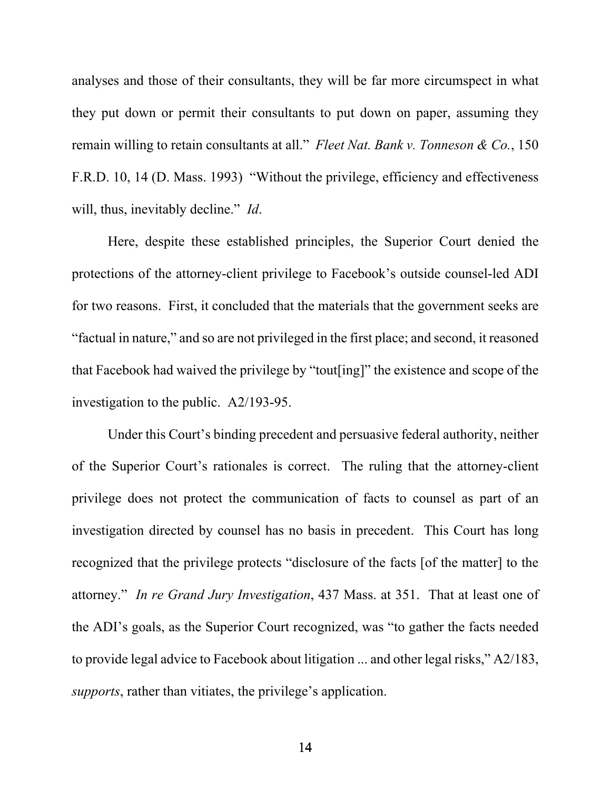analyses and those of their consultants, they will be far more circumspect in what they put down or permit their consultants to put down on paper, assuming they remain willing to retain consultants at all." *Fleet Nat. Bank v. Tonneson & Co.*, 150 F.R.D. 10, 14 (D. Mass. 1993) "Without the privilege, efficiency and effectiveness will, thus, inevitably decline." *Id*.

Here, despite these established principles, the Superior Court denied the protections of the attorney-client privilege to Facebook's outside counsel-led ADI for two reasons. First, it concluded that the materials that the government seeks are "factual in nature," and so are not privileged in the first place; and second, it reasoned that Facebook had waived the privilege by "tout[ing]" the existence and scope of the investigation to the public. A2/193-95.

Under this Court's binding precedent and persuasive federal authority, neither of the Superior Court's rationales is correct. The ruling that the attorney-client privilege does not protect the communication of facts to counsel as part of an investigation directed by counsel has no basis in precedent. This Court has long recognized that the privilege protects "disclosure of the facts [of the matter] to the attorney." *In re Grand Jury Investigation*, 437 Mass. at 351. That at least one of the ADI's goals, as the Superior Court recognized, was "to gather the facts needed to provide legal advice to Facebook about litigation ... and other legal risks," A2/183, *supports*, rather than vitiates, the privilege's application.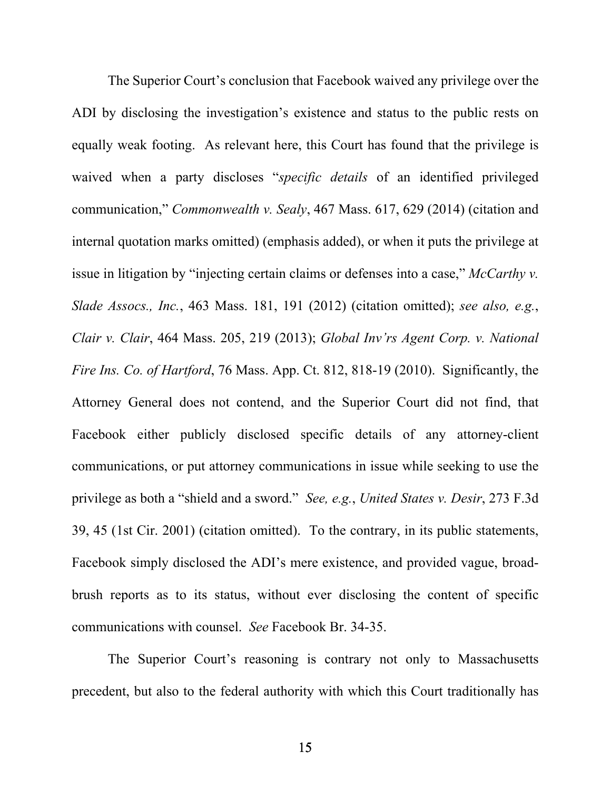The Superior Court's conclusion that Facebook waived any privilege over the ADI by disclosing the investigation's existence and status to the public rests on equally weak footing. As relevant here, this Court has found that the privilege is waived when a party discloses "*specific details* of an identified privileged communication," *Commonwealth v. Sealy*, 467 Mass. 617, 629 (2014) (citation and internal quotation marks omitted) (emphasis added), or when it puts the privilege at issue in litigation by "injecting certain claims or defenses into a case," *McCarthy v. Slade Assocs., Inc.*, 463 Mass. 181, 191 (2012) (citation omitted); *see also, e.g.*, *Clair v. Clair*, 464 Mass. 205, 219 (2013); *Global Inv'rs Agent Corp. v. National Fire Ins. Co. of Hartford*, 76 Mass. App. Ct. 812, 818-19 (2010). Significantly, the Attorney General does not contend, and the Superior Court did not find, that Facebook either publicly disclosed specific details of any attorney-client communications, or put attorney communications in issue while seeking to use the privilege as both a "shield and a sword." *See, e.g.*, *United States v. Desir*, 273 F.3d 39, 45 (1st Cir. 2001) (citation omitted). To the contrary, in its public statements, Facebook simply disclosed the ADI's mere existence, and provided vague, broadbrush reports as to its status, without ever disclosing the content of specific communications with counsel. *See* Facebook Br. 34-35.

The Superior Court's reasoning is contrary not only to Massachusetts precedent, but also to the federal authority with which this Court traditionally has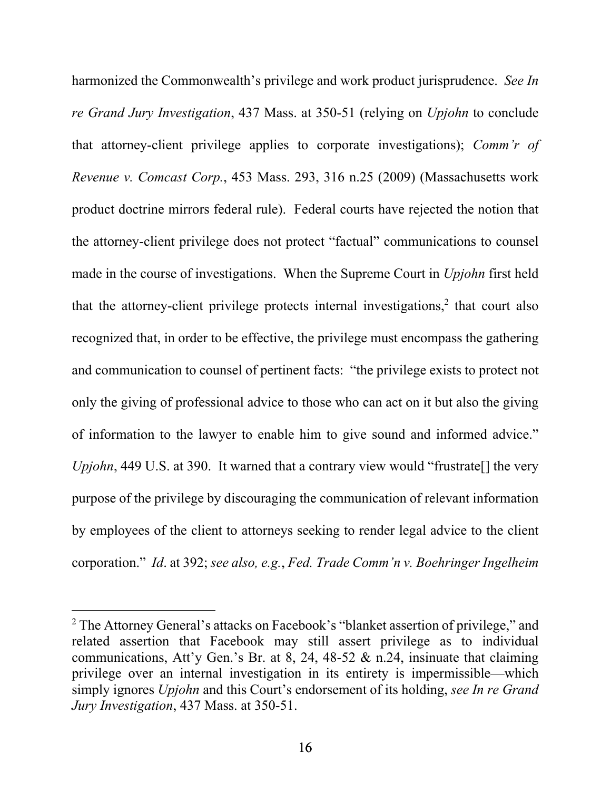harmonized the Commonwealth's privilege and work product jurisprudence. *See In re Grand Jury Investigation*, 437 Mass. at 350-51 (relying on *Upjohn* to conclude that attorney-client privilege applies to corporate investigations); *Comm'r of Revenue v. Comcast Corp.*, 453 Mass. 293, 316 n.25 (2009) (Massachusetts work product doctrine mirrors federal rule). Federal courts have rejected the notion that the attorney-client privilege does not protect "factual" communications to counsel made in the course of investigations. When the Supreme Court in *Upjohn* first held that the attorney-client privilege protects internal investigations, $2$  that court also recognized that, in order to be effective, the privilege must encompass the gathering and communication to counsel of pertinent facts: "the privilege exists to protect not only the giving of professional advice to those who can act on it but also the giving of information to the lawyer to enable him to give sound and informed advice." *Upjohn*, 449 U.S. at 390. It warned that a contrary view would "frustrate<sup>[]</sup> the very purpose of the privilege by discouraging the communication of relevant information by employees of the client to attorneys seeking to render legal advice to the client corporation." *Id*. at 392; *see also, e.g.*, *Fed. Trade Comm'n v. Boehringer Ingelheim* 

<sup>&</sup>lt;sup>2</sup> The Attorney General's attacks on Facebook's "blanket assertion of privilege," and related assertion that Facebook may still assert privilege as to individual communications, Att'y Gen.'s Br. at 8, 24, 48-52  $\&$  n.24, insinuate that claiming privilege over an internal investigation in its entirety is impermissible—which simply ignores *Upjohn* and this Court's endorsement of its holding, *see In re Grand Jury Investigation*, 437 Mass. at 350-51.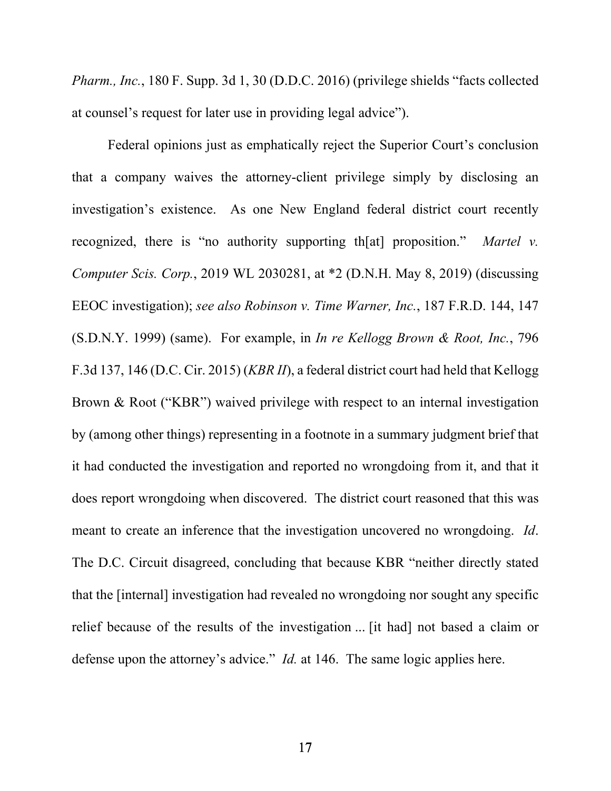*Pharm., Inc.*, 180 F. Supp. 3d 1, 30 (D.D.C. 2016) (privilege shields "facts collected at counsel's request for later use in providing legal advice").

Federal opinions just as emphatically reject the Superior Court's conclusion that a company waives the attorney-client privilege simply by disclosing an investigation's existence. As one New England federal district court recently recognized, there is "no authority supporting th[at] proposition." *Martel v. Computer Scis. Corp.*, 2019 WL 2030281, at \*2 (D.N.H. May 8, 2019) (discussing EEOC investigation); *see also Robinson v. Time Warner, Inc.*, 187 F.R.D. 144, 147 (S.D.N.Y. 1999) (same). For example, in *In re Kellogg Brown & Root, Inc.*, 796 F.3d 137, 146 (D.C. Cir. 2015) (*KBR II*), a federal district court had held that Kellogg Brown & Root ("KBR") waived privilege with respect to an internal investigation by (among other things) representing in a footnote in a summary judgment brief that it had conducted the investigation and reported no wrongdoing from it, and that it does report wrongdoing when discovered. The district court reasoned that this was meant to create an inference that the investigation uncovered no wrongdoing. *Id*. The D.C. Circuit disagreed, concluding that because KBR "neither directly stated that the [internal] investigation had revealed no wrongdoing nor sought any specific relief because of the results of the investigation ... [it had] not based a claim or defense upon the attorney's advice." *Id.* at 146. The same logic applies here.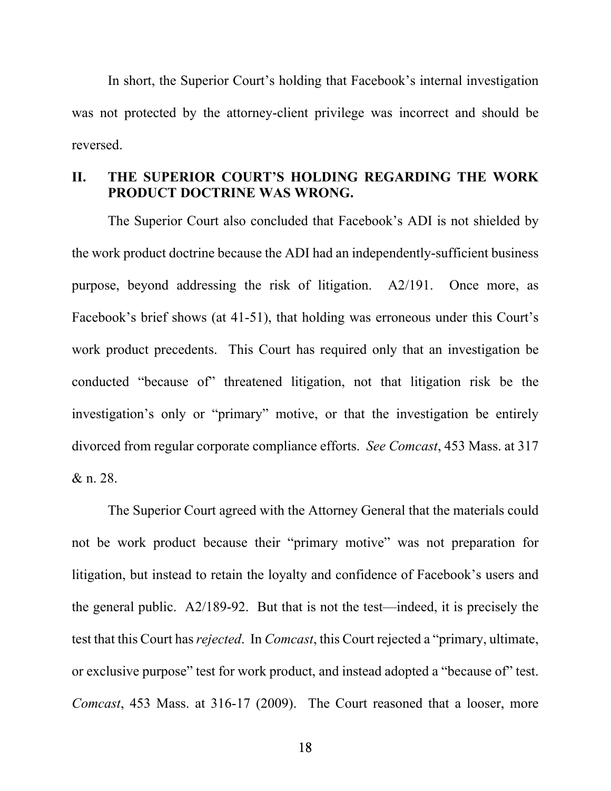In short, the Superior Court's holding that Facebook's internal investigation was not protected by the attorney-client privilege was incorrect and should be reversed.

## **II. THE SUPERIOR COURT'S HOLDING REGARDING THE WORK PRODUCT DOCTRINE WAS WRONG.**

The Superior Court also concluded that Facebook's ADI is not shielded by the work product doctrine because the ADI had an independently-sufficient business purpose, beyond addressing the risk of litigation. A2/191. Once more, as Facebook's brief shows (at 41-51), that holding was erroneous under this Court's work product precedents. This Court has required only that an investigation be conducted "because of" threatened litigation, not that litigation risk be the investigation's only or "primary" motive, or that the investigation be entirely divorced from regular corporate compliance efforts. *See Comcast*, 453 Mass. at 317 & n. 28.

The Superior Court agreed with the Attorney General that the materials could not be work product because their "primary motive" was not preparation for litigation, but instead to retain the loyalty and confidence of Facebook's users and the general public. A2/189-92. But that is not the test—indeed, it is precisely the test that this Court has *rejected*. In *Comcast*, this Court rejected a "primary, ultimate, or exclusive purpose" test for work product, and instead adopted a "because of" test. *Comcast*, 453 Mass. at 316-17 (2009). The Court reasoned that a looser, more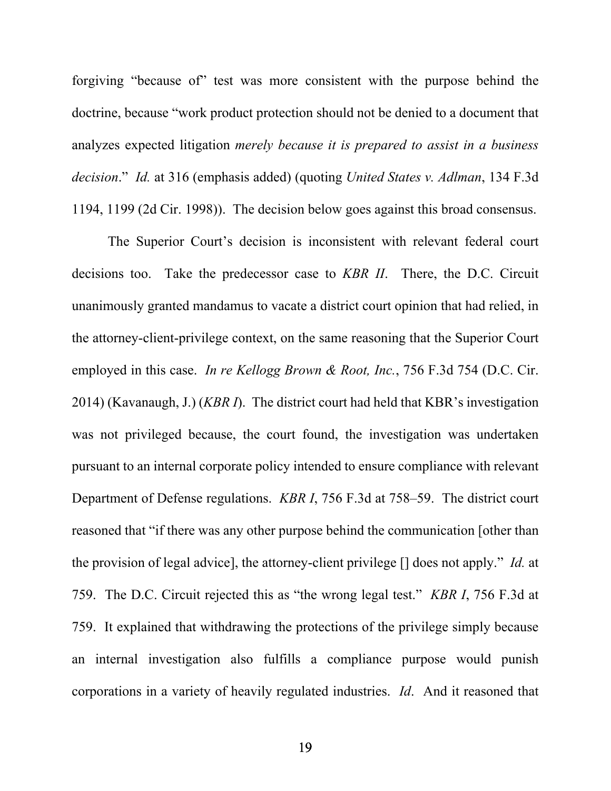forgiving "because of" test was more consistent with the purpose behind the doctrine, because "work product protection should not be denied to a document that analyzes expected litigation *merely because it is prepared to assist in a business decision*." *Id.* at 316 (emphasis added) (quoting *United States v. Adlman*, 134 F.3d 1194, 1199 (2d Cir. 1998)). The decision below goes against this broad consensus.

The Superior Court's decision is inconsistent with relevant federal court decisions too. Take the predecessor case to *KBR II*. There, the D.C. Circuit unanimously granted mandamus to vacate a district court opinion that had relied, in the attorney-client-privilege context, on the same reasoning that the Superior Court employed in this case. *In re Kellogg Brown & Root, Inc.*, 756 F.3d 754 (D.C. Cir. 2014) (Kavanaugh, J.) (*KBR I*). The district court had held that KBR's investigation was not privileged because, the court found, the investigation was undertaken pursuant to an internal corporate policy intended to ensure compliance with relevant Department of Defense regulations. *KBR I*, 756 F.3d at 758–59. The district court reasoned that "if there was any other purpose behind the communication [other than the provision of legal advice], the attorney-client privilege [] does not apply." *Id.* at 759. The D.C. Circuit rejected this as "the wrong legal test." *KBR I*, 756 F.3d at 759. It explained that withdrawing the protections of the privilege simply because an internal investigation also fulfills a compliance purpose would punish corporations in a variety of heavily regulated industries. *Id*. And it reasoned that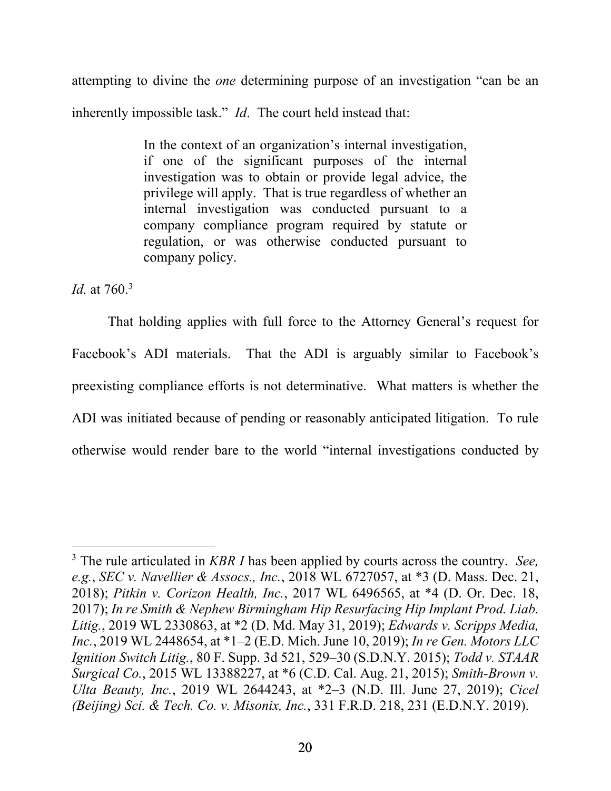attempting to divine the *one* determining purpose of an investigation "can be an inherently impossible task." *Id*. The court held instead that:

> In the context of an organization's internal investigation, if one of the significant purposes of the internal investigation was to obtain or provide legal advice, the privilege will apply. That is true regardless of whether an internal investigation was conducted pursuant to a company compliance program required by statute or regulation, or was otherwise conducted pursuant to company policy.

*Id.* at 760.3

That holding applies with full force to the Attorney General's request for Facebook's ADI materials. That the ADI is arguably similar to Facebook's preexisting compliance efforts is not determinative. What matters is whether the ADI was initiated because of pending or reasonably anticipated litigation. To rule otherwise would render bare to the world "internal investigations conducted by

<sup>3</sup> The rule articulated in *KBR I* has been applied by courts across the country. *See, e.g.*, *SEC v. Navellier & Assocs., Inc.*, 2018 WL 6727057, at \*3 (D. Mass. Dec. 21, 2018); *Pitkin v. Corizon Health, Inc.*, 2017 WL 6496565, at \*4 (D. Or. Dec. 18, 2017); *In re Smith & Nephew Birmingham Hip Resurfacing Hip Implant Prod. Liab. Litig.*, 2019 WL 2330863, at \*2 (D. Md. May 31, 2019); *Edwards v. Scripps Media, Inc.*, 2019 WL 2448654, at \*1–2 (E.D. Mich. June 10, 2019); *In re Gen. Motors LLC Ignition Switch Litig.*, 80 F. Supp. 3d 521, 529–30 (S.D.N.Y. 2015); *Todd v. STAAR Surgical Co.*, 2015 WL 13388227, at \*6 (C.D. Cal. Aug. 21, 2015); *Smith-Brown v. Ulta Beauty, Inc.*, 2019 WL 2644243, at \*2–3 (N.D. Ill. June 27, 2019); *Cicel (Beijing) Sci. & Tech. Co. v. Misonix, Inc.*, 331 F.R.D. 218, 231 (E.D.N.Y. 2019).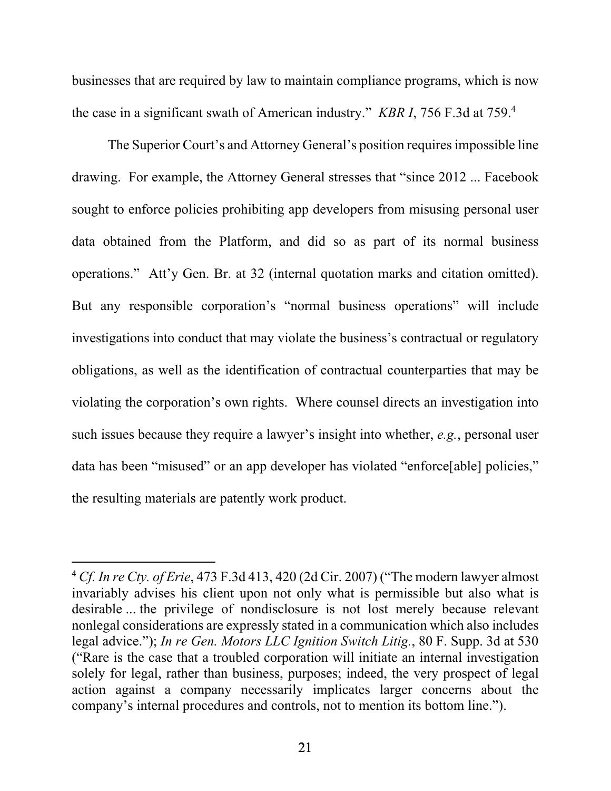businesses that are required by law to maintain compliance programs, which is now the case in a significant swath of American industry." *KBR I*, 756 F.3d at 759.4

The Superior Court's and Attorney General's position requires impossible line drawing. For example, the Attorney General stresses that "since 2012 ... Facebook sought to enforce policies prohibiting app developers from misusing personal user data obtained from the Platform, and did so as part of its normal business operations." Att'y Gen. Br. at 32 (internal quotation marks and citation omitted). But any responsible corporation's "normal business operations" will include investigations into conduct that may violate the business's contractual or regulatory obligations, as well as the identification of contractual counterparties that may be violating the corporation's own rights. Where counsel directs an investigation into such issues because they require a lawyer's insight into whether, *e.g.*, personal user data has been "misused" or an app developer has violated "enforce[able] policies," the resulting materials are patently work product.

<sup>4</sup> *Cf. In re Cty. of Erie*, 473 F.3d 413, 420 (2d Cir. 2007) ("The modern lawyer almost invariably advises his client upon not only what is permissible but also what is desirable ... the privilege of nondisclosure is not lost merely because relevant nonlegal considerations are expressly stated in a communication which also includes legal advice."); *In re Gen. Motors LLC Ignition Switch Litig.*, 80 F. Supp. 3d at 530 ("Rare is the case that a troubled corporation will initiate an internal investigation solely for legal, rather than business, purposes; indeed, the very prospect of legal action against a company necessarily implicates larger concerns about the company's internal procedures and controls, not to mention its bottom line.").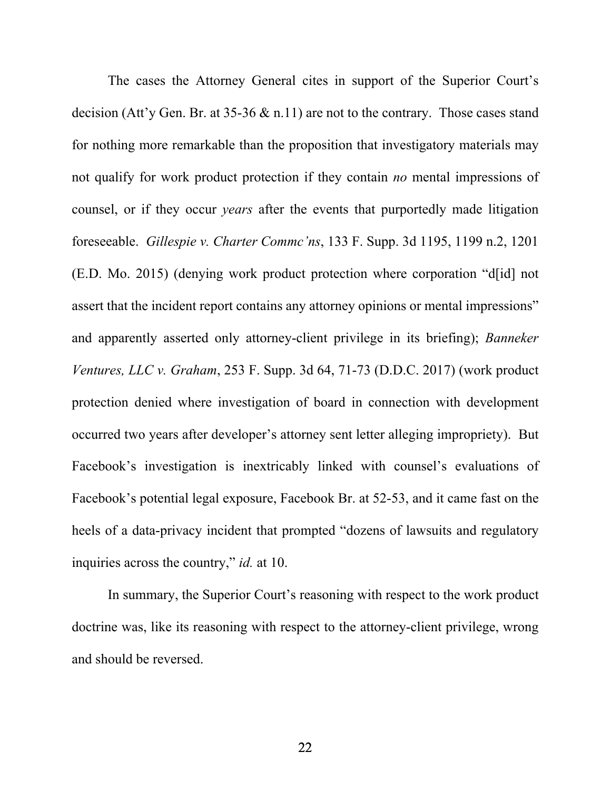The cases the Attorney General cites in support of the Superior Court's decision (Att'y Gen. Br. at 35-36 & n.11) are not to the contrary. Those cases stand for nothing more remarkable than the proposition that investigatory materials may not qualify for work product protection if they contain *no* mental impressions of counsel, or if they occur *years* after the events that purportedly made litigation foreseeable. *Gillespie v. Charter Commc'ns*, 133 F. Supp. 3d 1195, 1199 n.2, 1201 (E.D. Mo. 2015) (denying work product protection where corporation "d[id] not assert that the incident report contains any attorney opinions or mental impressions" and apparently asserted only attorney-client privilege in its briefing); *Banneker Ventures, LLC v. Graham*, 253 F. Supp. 3d 64, 71-73 (D.D.C. 2017) (work product protection denied where investigation of board in connection with development occurred two years after developer's attorney sent letter alleging impropriety). But Facebook's investigation is inextricably linked with counsel's evaluations of Facebook's potential legal exposure, Facebook Br. at 52-53, and it came fast on the heels of a data-privacy incident that prompted "dozens of lawsuits and regulatory inquiries across the country," *id.* at 10.

In summary, the Superior Court's reasoning with respect to the work product doctrine was, like its reasoning with respect to the attorney-client privilege, wrong and should be reversed.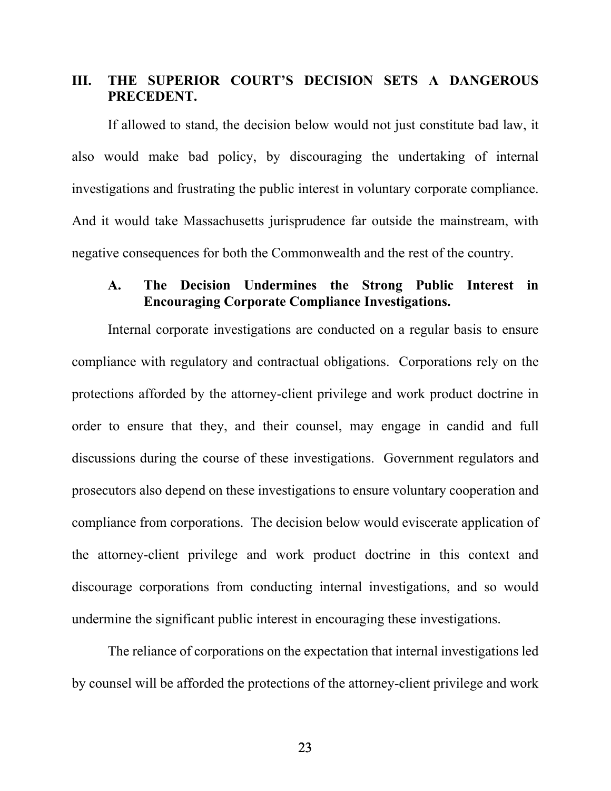## **III. THE SUPERIOR COURT'S DECISION SETS A DANGEROUS PRECEDENT.**

If allowed to stand, the decision below would not just constitute bad law, it also would make bad policy, by discouraging the undertaking of internal investigations and frustrating the public interest in voluntary corporate compliance. And it would take Massachusetts jurisprudence far outside the mainstream, with negative consequences for both the Commonwealth and the rest of the country.

## **A. The Decision Undermines the Strong Public Interest in Encouraging Corporate Compliance Investigations.**

Internal corporate investigations are conducted on a regular basis to ensure compliance with regulatory and contractual obligations. Corporations rely on the protections afforded by the attorney-client privilege and work product doctrine in order to ensure that they, and their counsel, may engage in candid and full discussions during the course of these investigations. Government regulators and prosecutors also depend on these investigations to ensure voluntary cooperation and compliance from corporations. The decision below would eviscerate application of the attorney-client privilege and work product doctrine in this context and discourage corporations from conducting internal investigations, and so would undermine the significant public interest in encouraging these investigations.

The reliance of corporations on the expectation that internal investigations led by counsel will be afforded the protections of the attorney-client privilege and work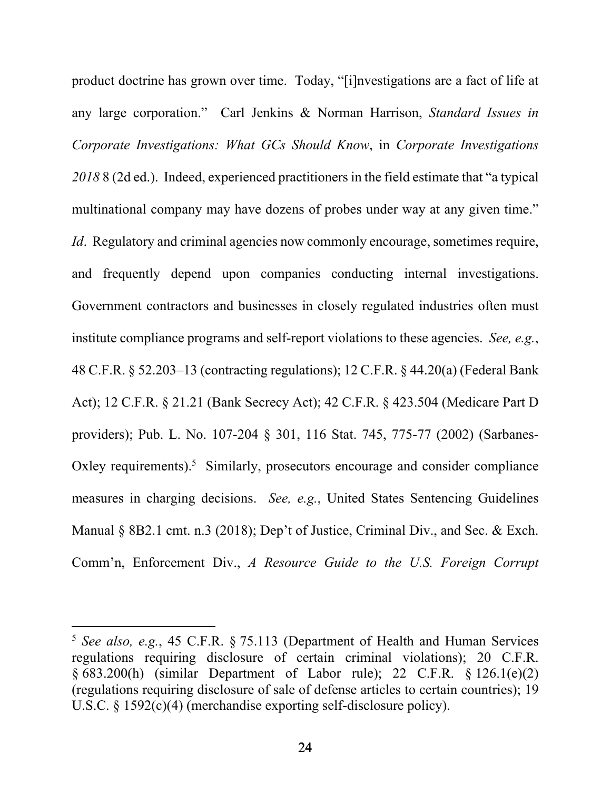product doctrine has grown over time. Today, "[i]nvestigations are a fact of life at any large corporation." Carl Jenkins & Norman Harrison, *Standard Issues in Corporate Investigations: What GCs Should Know*, in *Corporate Investigations 2018* 8 (2d ed.). Indeed, experienced practitioners in the field estimate that "a typical multinational company may have dozens of probes under way at any given time." *Id.* Regulatory and criminal agencies now commonly encourage, sometimes require, and frequently depend upon companies conducting internal investigations. Government contractors and businesses in closely regulated industries often must institute compliance programs and self-report violations to these agencies. *See, e.g.*, 48 C.F.R. § 52.203–13 (contracting regulations); 12 C.F.R. § 44.20(a) (Federal Bank Act); 12 C.F.R. § 21.21 (Bank Secrecy Act); 42 C.F.R. § 423.504 (Medicare Part D providers); Pub. L. No. 107-204 § 301, 116 Stat. 745, 775-77 (2002) (Sarbanes-Oxley requirements). $5$  Similarly, prosecutors encourage and consider compliance measures in charging decisions. *See, e.g.*, United States Sentencing Guidelines Manual § 8B2.1 cmt. n.3 (2018); Dep't of Justice, Criminal Div., and Sec. & Exch. Comm'n, Enforcement Div., *A Resource Guide to the U.S. Foreign Corrupt* 

<sup>5</sup> *See also, e.g.*, 45 C.F.R. § 75.113 (Department of Health and Human Services regulations requiring disclosure of certain criminal violations); 20 C.F.R. § 683.200(h) (similar Department of Labor rule); 22 C.F.R. § 126.1(e)(2) (regulations requiring disclosure of sale of defense articles to certain countries); 19 U.S.C. § 1592(c)(4) (merchandise exporting self-disclosure policy).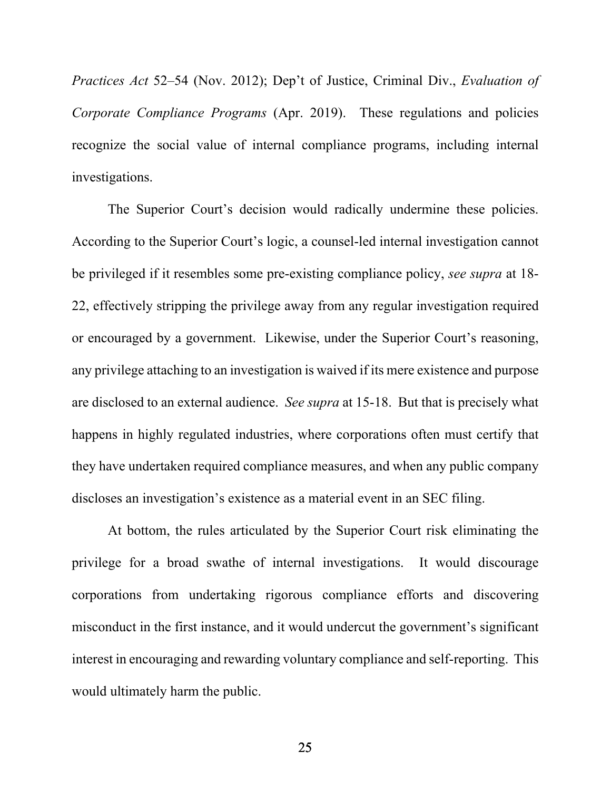*Practices Act* 52–54 (Nov. 2012); Dep't of Justice, Criminal Div., *Evaluation of Corporate Compliance Programs* (Apr. 2019). These regulations and policies recognize the social value of internal compliance programs, including internal investigations.

The Superior Court's decision would radically undermine these policies. According to the Superior Court's logic, a counsel-led internal investigation cannot be privileged if it resembles some pre-existing compliance policy, *see supra* at 18- 22, effectively stripping the privilege away from any regular investigation required or encouraged by a government. Likewise, under the Superior Court's reasoning, any privilege attaching to an investigation is waived if its mere existence and purpose are disclosed to an external audience. *See supra* at 15-18. But that is precisely what happens in highly regulated industries, where corporations often must certify that they have undertaken required compliance measures, and when any public company discloses an investigation's existence as a material event in an SEC filing.

At bottom, the rules articulated by the Superior Court risk eliminating the privilege for a broad swathe of internal investigations. It would discourage corporations from undertaking rigorous compliance efforts and discovering misconduct in the first instance, and it would undercut the government's significant interest in encouraging and rewarding voluntary compliance and self-reporting. This would ultimately harm the public.

25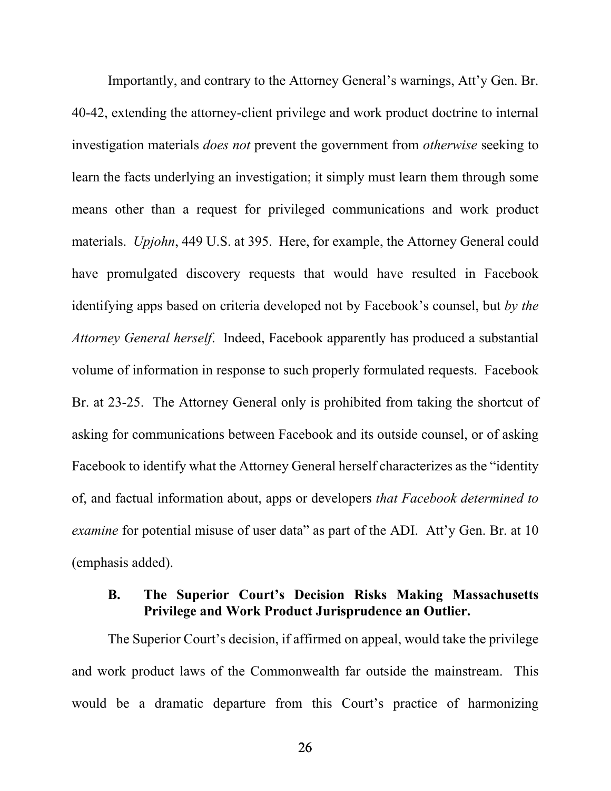Importantly, and contrary to the Attorney General's warnings, Att'y Gen. Br. 40-42, extending the attorney-client privilege and work product doctrine to internal investigation materials *does not* prevent the government from *otherwise* seeking to learn the facts underlying an investigation; it simply must learn them through some means other than a request for privileged communications and work product materials. *Upjohn*, 449 U.S. at 395. Here, for example, the Attorney General could have promulgated discovery requests that would have resulted in Facebook identifying apps based on criteria developed not by Facebook's counsel, but *by the Attorney General herself*. Indeed, Facebook apparently has produced a substantial volume of information in response to such properly formulated requests. Facebook Br. at 23-25. The Attorney General only is prohibited from taking the shortcut of asking for communications between Facebook and its outside counsel, or of asking Facebook to identify what the Attorney General herself characterizes as the "identity of, and factual information about, apps or developers *that Facebook determined to examine* for potential misuse of user data" as part of the ADI. Att'y Gen. Br. at 10 (emphasis added).

## **B. The Superior Court's Decision Risks Making Massachusetts Privilege and Work Product Jurisprudence an Outlier.**

The Superior Court's decision, if affirmed on appeal, would take the privilege and work product laws of the Commonwealth far outside the mainstream. This would be a dramatic departure from this Court's practice of harmonizing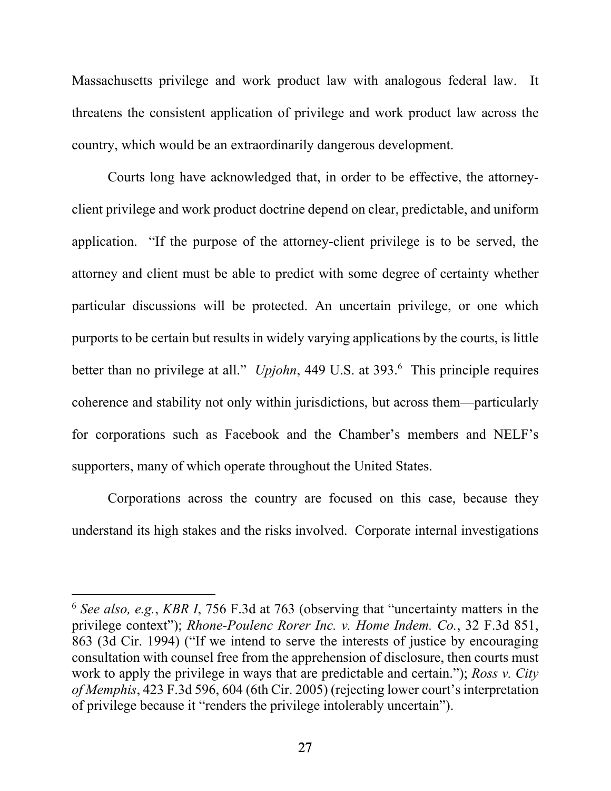Massachusetts privilege and work product law with analogous federal law. It threatens the consistent application of privilege and work product law across the country, which would be an extraordinarily dangerous development.

Courts long have acknowledged that, in order to be effective, the attorneyclient privilege and work product doctrine depend on clear, predictable, and uniform application. "If the purpose of the attorney-client privilege is to be served, the attorney and client must be able to predict with some degree of certainty whether particular discussions will be protected. An uncertain privilege, or one which purports to be certain but results in widely varying applications by the courts, is little better than no privilege at all." *Upjohn*, 449 U.S. at 393.<sup>6</sup> This principle requires coherence and stability not only within jurisdictions, but across them—particularly for corporations such as Facebook and the Chamber's members and NELF's supporters, many of which operate throughout the United States.

Corporations across the country are focused on this case, because they understand its high stakes and the risks involved. Corporate internal investigations

<sup>6</sup> *See also, e.g.*, *KBR I*, 756 F.3d at 763 (observing that "uncertainty matters in the privilege context"); *Rhone-Poulenc Rorer Inc. v. Home Indem. Co.*, 32 F.3d 851, 863 (3d Cir. 1994) ("If we intend to serve the interests of justice by encouraging consultation with counsel free from the apprehension of disclosure, then courts must work to apply the privilege in ways that are predictable and certain."); *Ross v. City of Memphis*, 423 F.3d 596, 604 (6th Cir. 2005) (rejecting lower court's interpretation of privilege because it "renders the privilege intolerably uncertain").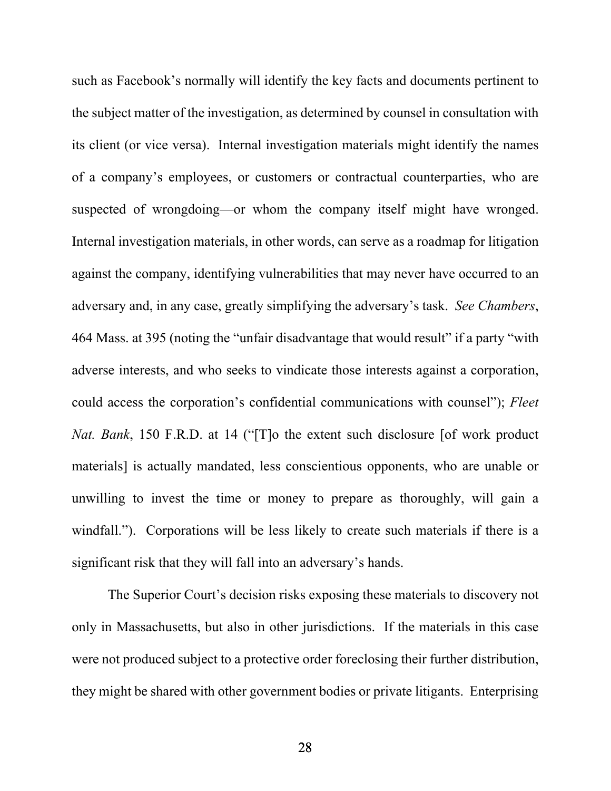such as Facebook's normally will identify the key facts and documents pertinent to the subject matter of the investigation, as determined by counsel in consultation with its client (or vice versa). Internal investigation materials might identify the names of a company's employees, or customers or contractual counterparties, who are suspected of wrongdoing—or whom the company itself might have wronged. Internal investigation materials, in other words, can serve as a roadmap for litigation against the company, identifying vulnerabilities that may never have occurred to an adversary and, in any case, greatly simplifying the adversary's task. *See Chambers*, 464 Mass. at 395 (noting the "unfair disadvantage that would result" if a party "with adverse interests, and who seeks to vindicate those interests against a corporation, could access the corporation's confidential communications with counsel"); *Fleet Nat. Bank*, 150 F.R.D. at 14 ("[T]o the extent such disclosure [of work product materials] is actually mandated, less conscientious opponents, who are unable or unwilling to invest the time or money to prepare as thoroughly, will gain a windfall."). Corporations will be less likely to create such materials if there is a significant risk that they will fall into an adversary's hands.

The Superior Court's decision risks exposing these materials to discovery not only in Massachusetts, but also in other jurisdictions. If the materials in this case were not produced subject to a protective order foreclosing their further distribution, they might be shared with other government bodies or private litigants. Enterprising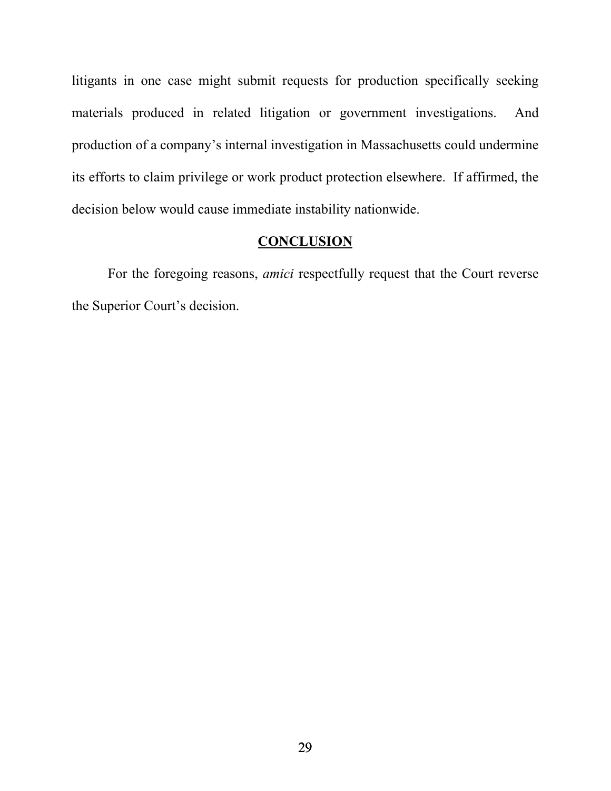litigants in one case might submit requests for production specifically seeking materials produced in related litigation or government investigations. And production of a company's internal investigation in Massachusetts could undermine its efforts to claim privilege or work product protection elsewhere. If affirmed, the decision below would cause immediate instability nationwide.

## **CONCLUSION**

 For the foregoing reasons, *amici* respectfully request that the Court reverse the Superior Court's decision.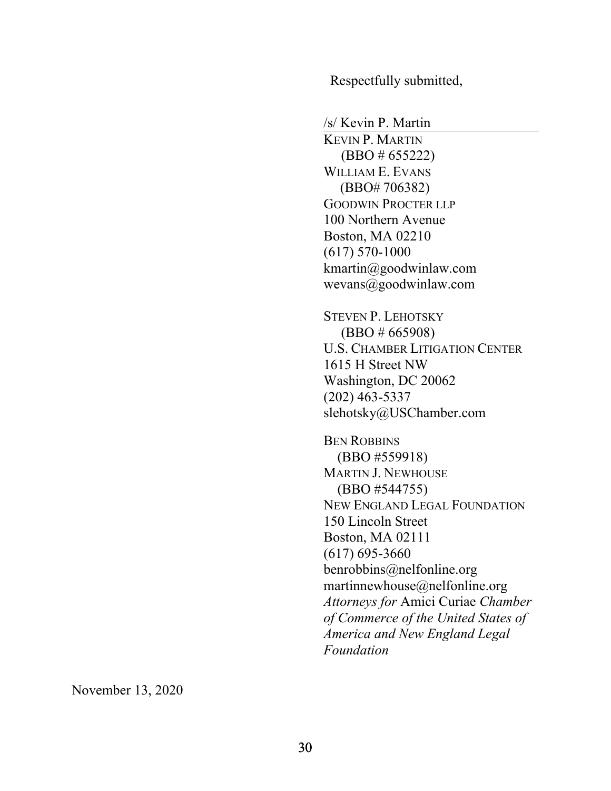Respectfully submitted,

/s/ Kevin P. Martin

 KEVIN P. MARTIN (BBO # 655222) WILLIAM E. EVANS (BBO# 706382) GOODWIN PROCTER LLP 100 Northern Avenue Boston, MA 02210 (617) 570-1000 kmartin@goodwinlaw.com wevans@goodwinlaw.com

STEVEN P. LEHOTSKY (BBO # 665908) U.S. CHAMBER LITIGATION CENTER 1615 H Street NW Washington, DC 20062 (202) 463-5337 slehotsky@USChamber.com

BEN ROBBINS (BBO #559918) MARTIN J. NEWHOUSE (BBO #544755) NEW ENGLAND LEGAL FOUNDATION 150 Lincoln Street Boston, MA 02111 (617) 695-3660 benrobbins@nelfonline.org martinnewhouse@nelfonline.org *Attorneys for* Amici Curiae *Chamber of Commerce of the United States of America and New England Legal Foundation*

November 13, 2020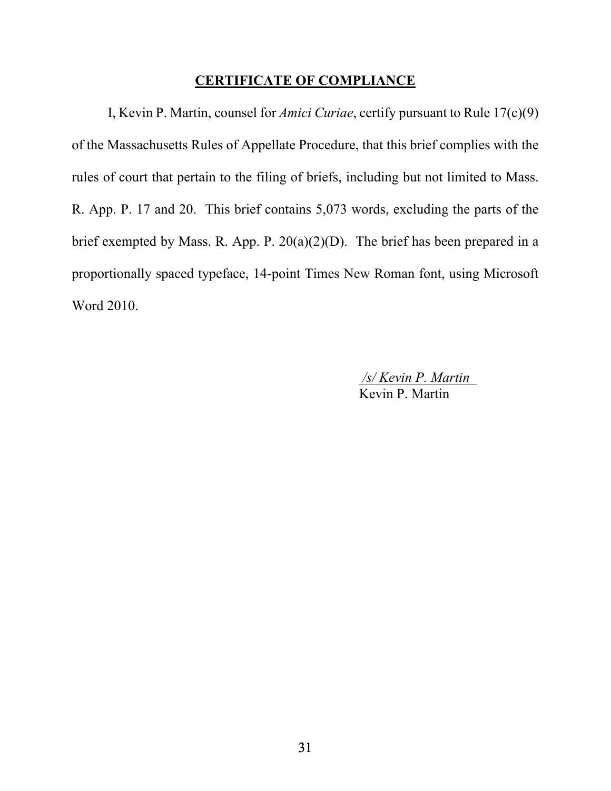### **CERTIFICATE OF COMPLIANCE**

 I, Kevin P. Martin, counsel for *Amici Curiae*, certify pursuant to Rule 17(c)(9) of the Massachusetts Rules of Appellate Procedure, that this brief complies with the rules of court that pertain to the filing of briefs, including but not limited to Mass. R. App. P. 17 and 20. This brief contains 5,073 words, excluding the parts of the brief exempted by Mass. R. App. P. 20(a)(2)(D). The brief has been prepared in a proportionally spaced typeface, 14-point Times New Roman font, using Microsoft Word 2010.

> */s/ Kevin P. Martin*  Kevin P. Martin